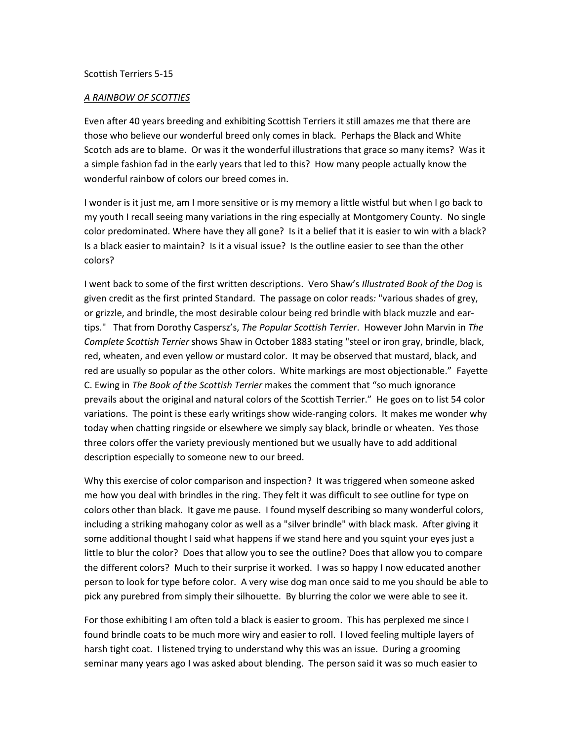## Scottish Terriers 5-15

## *A RAINBOW OF SCOTTIES*

Even after 40 years breeding and exhibiting Scottish Terriers it still amazes me that there are those who believe our wonderful breed only comes in black. Perhaps the Black and White Scotch ads are to blame. Or was it the wonderful illustrations that grace so many items? Was it a simple fashion fad in the early years that led to this? How many people actually know the wonderful rainbow of colors our breed comes in.

I wonder is it just me, am I more sensitive or is my memory a little wistful but when I go back to my youth I recall seeing many variations in the ring especially at Montgomery County. No single color predominated. Where have they all gone? Is it a belief that it is easier to win with a black? Is a black easier to maintain? Is it a visual issue? Is the outline easier to see than the other colors?

I went back to some of the first written descriptions. Vero Shaw's *Illustrated Book of the Dog* is given credit as the first printed Standard. The passage on color reads*:* "various shades of grey, or grizzle, and brindle, the most desirable colour being red brindle with black muzzle and eartips." That from Dorothy Caspersz's, *The Popular Scottish Terrier*. However John Marvin in *The Complete Scottish Terrier* shows Shaw in October 1883 stating "steel or iron gray, brindle, black, red, wheaten, and even yellow or mustard color. It may be observed that mustard, black, and red are usually so popular as the other colors. White markings are most objectionable." Fayette C. Ewing in *The Book of the Scottish Terrier* makes the comment that "so much ignorance prevails about the original and natural colors of the Scottish Terrier." He goes on to list 54 color variations. The point is these early writings show wide-ranging colors. It makes me wonder why today when chatting ringside or elsewhere we simply say black, brindle or wheaten. Yes those three colors offer the variety previously mentioned but we usually have to add additional description especially to someone new to our breed.

Why this exercise of color comparison and inspection? It was triggered when someone asked me how you deal with brindles in the ring. They felt it was difficult to see outline for type on colors other than black. It gave me pause. I found myself describing so many wonderful colors, including a striking mahogany color as well as a "silver brindle" with black mask. After giving it some additional thought I said what happens if we stand here and you squint your eyes just a little to blur the color? Does that allow you to see the outline? Does that allow you to compare the different colors? Much to their surprise it worked. I was so happy I now educated another person to look for type before color. A very wise dog man once said to me you should be able to pick any purebred from simply their silhouette. By blurring the color we were able to see it.

For those exhibiting I am often told a black is easier to groom. This has perplexed me since I found brindle coats to be much more wiry and easier to roll. I loved feeling multiple layers of harsh tight coat. I listened trying to understand why this was an issue. During a grooming seminar many years ago I was asked about blending. The person said it was so much easier to